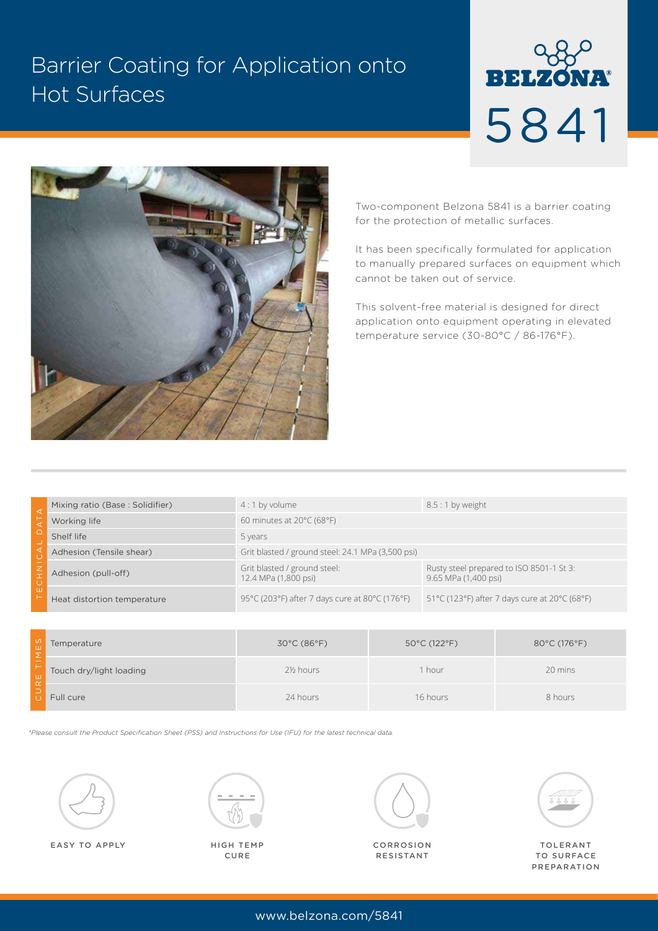## Barrier Coating for Application onto Hot Surfaces

# **BELZONA®** 5841



Two-component Belzona 5841 is a barrier coating for the protection of metallic surfaces.

It has been specifically formulated for application to manually prepared surfaces on equipment which cannot be taken out of service.

This solvent-free material is designed for direct application onto equipment operating in elevated temperature service (30-80°C / 86-176°F).

|   | Mixing ratio (Base: Solidifier) | $4:1$ by volume                                      | $8.5:1$ by weight                                                |  |
|---|---------------------------------|------------------------------------------------------|------------------------------------------------------------------|--|
|   | Working life                    | 60 minutes at $20^{\circ}$ C (68°F)                  |                                                                  |  |
|   | Shelf life                      | 5 years                                              |                                                                  |  |
|   | Adhesion (Tensile shear)        | Grit blasted / ground steel: 24.1 MPa (3,500 psi)    |                                                                  |  |
|   | Adhesion (pull-off)             | Grit blasted / ground steel:<br>12.4 MPa (1,800 psi) | Rusty steel prepared to ISO 8501-1 St 3:<br>9.65 MPa (1,400 psi) |  |
| ш | Heat distortion temperature     | 95°C (203°F) after 7 days cure at 80°C (176°F)       | 51 °C (123 °F) after 7 days cure at 20 °C (68 °F)                |  |

| ເທ'<br>ய   | Temperature             | $30^{\circ}$ C (86 $^{\circ}$ F) | $50^{\circ}$ C (122 $^{\circ}$ F) | 80°C (176°F) |
|------------|-------------------------|----------------------------------|-----------------------------------|--------------|
| <b>Lui</b> | Touch dry/light loading | 2½ hours                         | i hour                            | 20 mins      |
| - 7        | Full cure               | 24 hours                         | 16 hours                          | 8 hours      |

*\*Please consult the Product Specification Sheet (PSS) and Instructions for Use (IFU) for the latest technical data.*



EASY TO APPLY HIGH TEMP



CURE



CORROSION RESISTANT



TOLERANT TO SURFACE PREPARATION